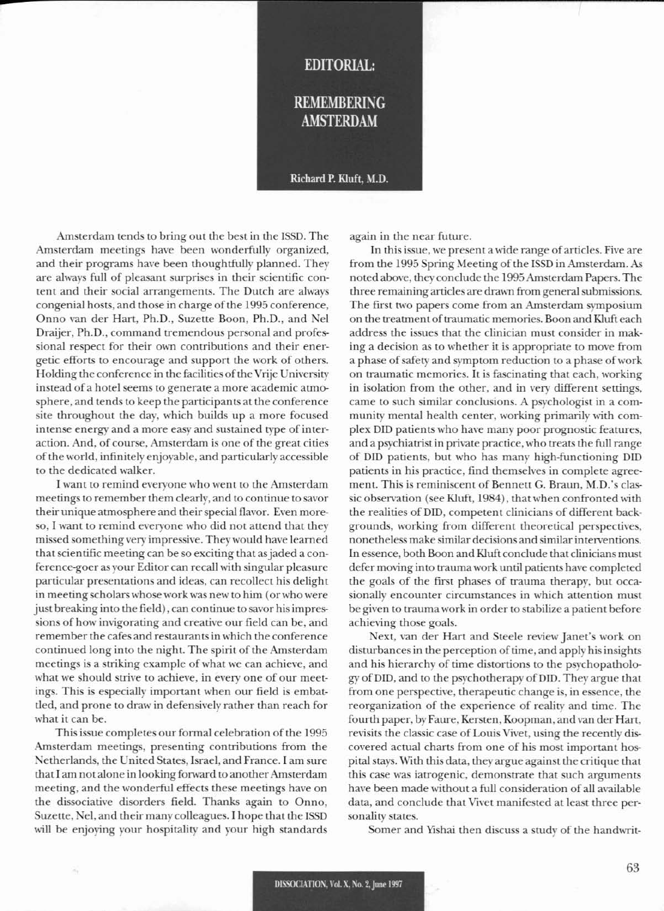## **EDITORIAL:**

## **REMEMBERING AMSTERDAM**

## Richard P. Kluft, M.D.

Amsterdam tends to bring out the best in the ISSD. The Amsterdam meetings have been wonderfully organized, and their programs have been thoughtfully planned. They are always full of pleasant surprises in their scientific content and their social arrangements. The Dutch are always congenial hosts, and those in charge of the 1995 conference, Onno van der Hart, Ph.D., Suzette Boon, Ph.D., and Nel Draijer, Ph.D., command tremendous personal and professional respect for their own contributions and their energetic efforts to encourage and support the work of others. Holding the conference in the facilities of the Vrije University instead of a hotel seems to generate a more academic atmosphere, and tends to keep the panicipantsat the conference site throughout the day, which builds up a more focused intense energy and a more easy and sustained type of interaction. And, of course, Amsterdam is one of the great cities of the world, infinitely enjoyable, and particularly accessible to the dedicated walker.

I want to remind everyone who went to the Amsterdam meetings to remember them clearly, and to continue to savor their unique atmosphere and their special flavor. Even moreso, I want to remind everyone who did not attend that they missed something very impressive. They would have learned that scientific meeting can be so exciting that as jaded a conference-goer as your Editor can recall with singular pleasure particular presentations and ideas, can recollect his delight in meeting scholars whose work was new to him (or who were just breaking into the field), can continue to savor his impressions of how invigorating and creative our field can be, and remember the cafes and restaurants in which the conference continued long into the night. The spirit of the Amsterdam meetings is a striking example of what we can achieve, and what we should strive to achieve, in every one of our meetings. This is especially important when our field is embattled, and prone to draw in defensively rather than reach for what it can be.

This issuc completes our formal celcbration of the 1995 Amsterdam meetings, presenting contributions from the Netherlands, the United States, Israel, and France. I am sure that I am not alone in looking forward to another Amsterdam meeting, and the wonderful effects these meetings have on the dissociative disorders field. Thanks again to Onno, Suzettc, NeI, and their many colleagues. I hope that the ISSD will be enjoying your hospitality and your high standards

again in the ncar future.

In this issue, we present a wide range of articles. Five are from the 1995 Spring Meeting of the ISSD in Amsterdam. As noted above, they conclude the 1995 Amsterdam Papers. The three remaining articles are drawn from general submissions. The first two papers come from an Amsterdam symposium on the treatment of traumatic memories. Boon and Kluft each address the issues that the clinician must consider in making a decision as to whether it is appropriate to move from a phase of safety and symptom reduction to a phase of work on traumatic memories. It is fascinating that each, working in isolation from the other, and in very different settings, came to such similar conclusions. A psychologist in a community mental health center, working primarily with complex DID patients who have many poor prognostic features, and a psychiatrist in private practice, who treats the full range of DID patients, but who has many high-functioning DID patients in his practice, find themselves in complete agreement. This is reminiscent of Bennett G. Braun, M.D.'s classic observation (see Kluft, 1984), that when confronted with the realities of DID, competent clinicians of different backgrounds, working from different theoretical perspectives, nonetheless make similar decisions and similar interventions. In essence, both Boon and Kluft conclude that clinicians must defer moving into trauma work until patients have completed the goals of the first phases of trauma therapy, but occasionally encounter circumstances in which attention must be given to trauma work in order to stabilize a patient before achic\ing those goals.

Next, van der Hart and Steele review Janet's work on disturbances in the perception of time, and apply his insights and his hierarchy of time distortions to the psychopathology of DID, and to the psychotherapy of DID. They argue that from one perspective, therapeutic change is, in essence, the reorganization of the experience of reality and time. The fourth paper, by Faure, Kersten, Koopman, and van der Hart, revisits the classic case of Louis Vivet, using the recently discovered actual charts from one of his most important hospital stays. With this data, they argue against the critique that this case was iatrogenic, demonstrate that such arguments have been made without a full consideration of all available data, and conclude that Vivet manifested at least three personality states.

Somer and Yishai then discuss a study of the handwrit-